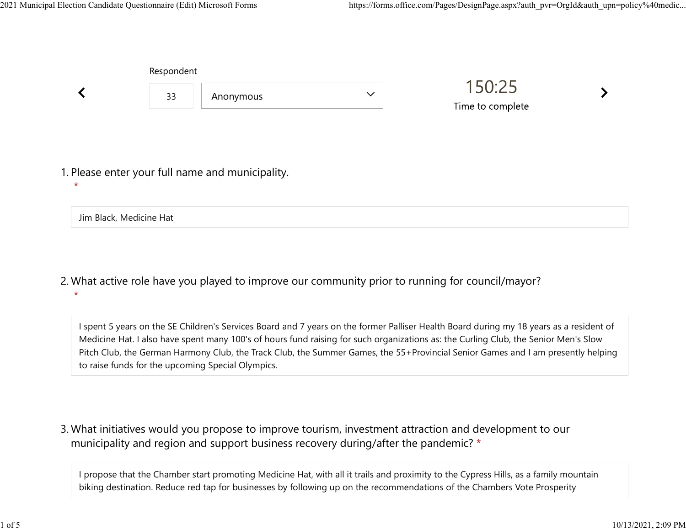|         | Respondent              |                                                  |              |                            |  |
|---------|-------------------------|--------------------------------------------------|--------------|----------------------------|--|
|         | 33                      | Anonymous                                        | $\checkmark$ | 150:25<br>Time to complete |  |
| $\star$ |                         | 1. Please enter your full name and municipality. |              |                            |  |
|         | Jim Black, Medicine Hat |                                                  |              |                            |  |

What active role have you played to improve our community prior to running for council/mayor? 2. \*

I spent 5 years on the SE Children's Services Board and 7 years on the former Palliser Health Board during my 18 years as a resident of Medicine Hat. I also have spent many 100's of hours fund raising for such organizations as: the Curling Club, the Senior Men's Slow Pitch Club, the German Harmony Club, the Track Club, the Summer Games, the 55+Provincial Senior Games and I am presently helping to raise funds for the upcoming Special Olympics.

What initiatives would you propose to improve tourism, investment attraction and development to our 3. municipality and region and support business recovery during/after the pandemic? \*

I propose that the Chamber start promoting Medicine Hat, with all it trails and proximity to the Cypress Hills, as a family mountain biking destination. Reduce red tap for businesses by following up on the recommendations of the Chambers Vote Prosperity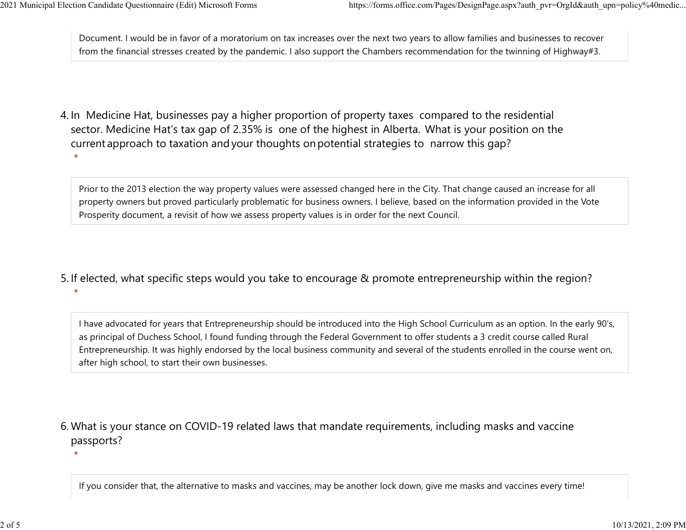Document. I would be in favor of a moratorium on tax increases over the next two years to allow families and businesses to recover from the financial stresses created by the pandemic. I also support the Chambers recommendation for the twinning of Highway#3. 2021 Municipal Election Candidate Questionnaire (Edit) Microsoft Forms https://forms.office.com/Pages/DesignPage.aspx?auth\_pvr=OrgId&auth\_upn=policy%40medic...<br>Document. I would be in favor of a moratorium on tax increases

4. In Medicine Hat, businesses pay a higher proportion of property taxes compared to the residential sector.  Medicine Hat's tax gap of 2.35% is one of the highest in Alberta.  What is your position on the current approach to taxation and your thoughts on potential strategies to narrow this gap? \*

Prior to the 2013 election the way property values were assessed changed here in the City. That change caused an increase for all property owners but proved particularly problematic for business owners. I believe, based on the information provided in the Vote Prosperity document, a revisit of how we assess property values is in order for the next Council.

5. If elected, what specific steps would you take to encourage & promote entrepreneurship within the region?  $\star$ 

I have advocated for years that Entrepreneurship should be introduced into the High School Curriculum as an option. In the early 90's, as principal of Duchess School, I found funding through the Federal Government to offer students a 3 credit course called Rural Entrepreneurship. It was highly endorsed by the local business community and several of the students enrolled in the course went on, after high school, to start their own businesses.

What is your stance on COVID-19 related laws that mandate requirements, including masks and vaccine 6. passports?

 $\star$ 

If you consider that, the alternative to masks and vaccines, may be another lock down, give me masks and vaccines every time!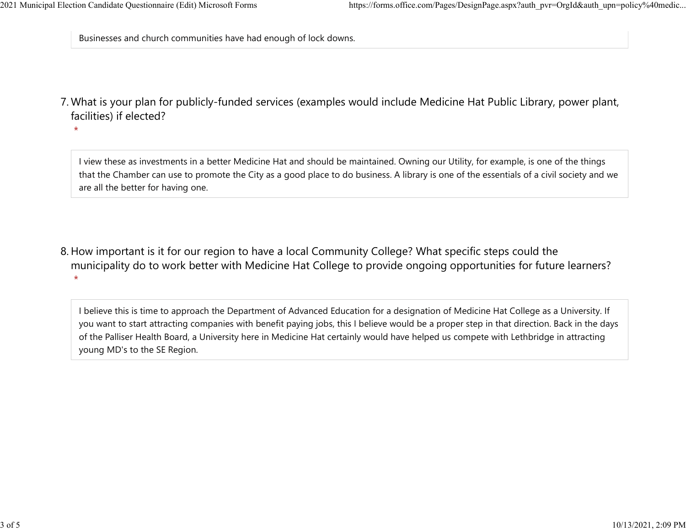Businesses and church communities have had enough of lock downs.

What is your plan for publicly-funded services (examples would include Medicine Hat Public Library, power plant, 7. facilities) if elected?

 $\star$ 

I view these as investments in a better Medicine Hat and should be maintained. Owning our Utility, for example, is one of the things that the Chamber can use to promote the City as a good place to do business. A library is one of the essentials of a civil society and we are all the better for having one.

8. How important is it for our region to have a local Community College? What specific steps could the municipality do to work better with Medicine Hat College to provide ongoing opportunities for future learners?  $\star$ 

I believe this is time to approach the Department of Advanced Education for a designation of Medicine Hat College as a University. If you want to start attracting companies with benefit paying jobs, this I believe would be a proper step in that direction. Back in the days of the Palliser Health Board, a University here in Medicine Hat certainly would have helped us compete with Lethbridge in attracting young MD's to the SE Region.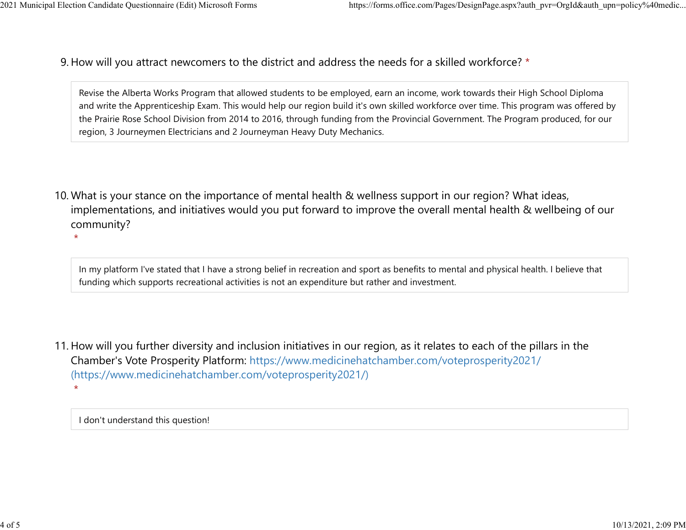9. How will you attract newcomers to the district and address the needs for a skilled workforce? \* 2021 Municipal Election Candidate Questionnaire (Edit) Microsoft Forms https://forms.office.com/Pages/DesignPage.aspx?auth\_pvr=OrgId&auth\_upn=policy%40medic...<br>Q How will you attract newcomers to the district and address t

> Revise the Alberta Works Program that allowed students to be employed, earn an income, work towards their High School Diploma and write the Apprenticeship Exam. This would help our region build it's own skilled workforce over time. This program was offered by the Prairie Rose School Division from 2014 to 2016, through funding from the Provincial Government. The Program produced, for our region, 3 Journeymen Electricians and 2 Journeyman Heavy Duty Mechanics.

10. What is your stance on the importance of mental health & wellness support in our region? What ideas, implementations, and initiatives would you put forward to improve the overall mental health & wellbeing of our community?

 $\star$ 

In my platform I've stated that I have a strong belief in recreation and sport as benefits to mental and physical health. I believe that funding which supports recreational activities is not an expenditure but rather and investment.

11. How will you further diversity and inclusion initiatives in our region, as it relates to each of the pillars in the Chamber's Vote Prosperity Platform: https://www.medicinehatchamber.com/voteprosperity2021/ (https://www.medicinehatchamber.com/voteprosperity2021/)  $\star$ 

I don't understand this question!